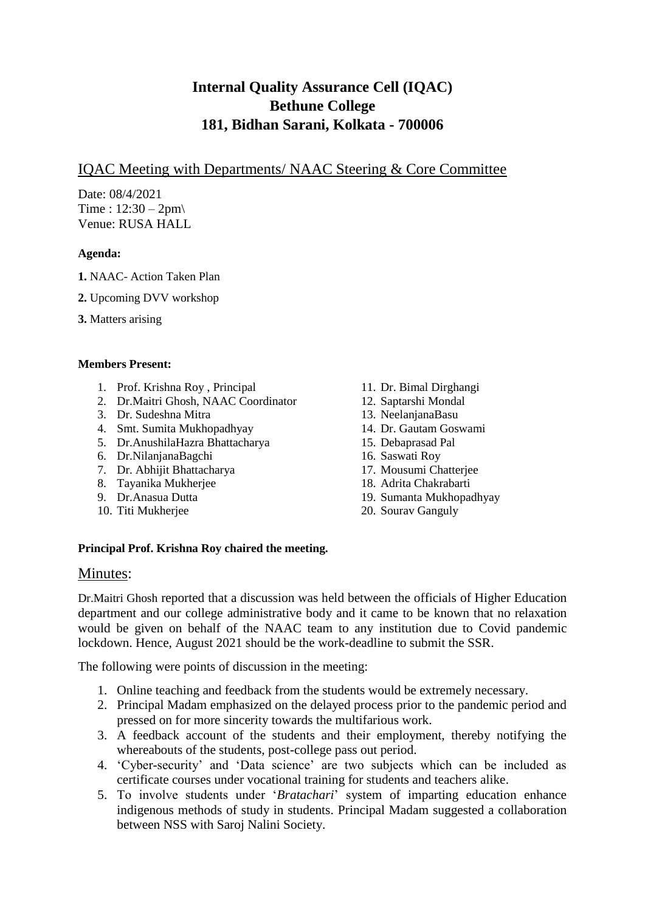# **Internal Quality Assurance Cell (IQAC) Bethune College 181, Bidhan Sarani, Kolkata - 700006**

## IQAC Meeting with Departments/ NAAC Steering & Core Committee

Date: 08/4/2021 Time :  $12:30 - 2$ pm Venue: RUSA HALL

### **Agenda:**

- **1.** NAAC- Action Taken Plan
- **2.** Upcoming DVV workshop
- **3.** Matters arising

#### **Members Present:**

- 1. Prof. Krishna Roy , Principal
- 2. Dr.Maitri Ghosh, NAAC Coordinator
- 3. Dr. Sudeshna Mitra
- 4. Smt. Sumita Mukhopadhyay
- 5. Dr.AnushilaHazra Bhattacharya
- 6. Dr.NilanjanaBagchi
- 7. Dr. Abhijit Bhattacharya
- 8. Tayanika Mukherjee
- 9. Dr.Anasua Dutta
- 10. Titi Mukherjee
- 11. Dr. Bimal Dirghangi
- 12. Saptarshi Mondal
- 13. NeelanjanaBasu
- 14. Dr. Gautam Goswami
- 15. Debaprasad Pal
- 16. Saswati Roy
- 17. Mousumi Chatterjee
- 18. Adrita Chakrabarti
- 19. Sumanta Mukhopadhyay
- 20. Sourav Ganguly

#### **Principal Prof. Krishna Roy chaired the meeting.**

#### Minutes:

Dr.Maitri Ghosh reported that a discussion was held between the officials of Higher Education department and our college administrative body and it came to be known that no relaxation would be given on behalf of the NAAC team to any institution due to Covid pandemic lockdown. Hence, August 2021 should be the work-deadline to submit the SSR.

The following were points of discussion in the meeting:

- 1. Online teaching and feedback from the students would be extremely necessary.
- 2. Principal Madam emphasized on the delayed process prior to the pandemic period and pressed on for more sincerity towards the multifarious work.
- 3. A feedback account of the students and their employment, thereby notifying the whereabouts of the students, post-college pass out period.
- 4. 'Cyber-security' and 'Data science' are two subjects which can be included as certificate courses under vocational training for students and teachers alike.
- 5. To involve students under '*Bratachari*' system of imparting education enhance indigenous methods of study in students. Principal Madam suggested a collaboration between NSS with Saroj Nalini Society.